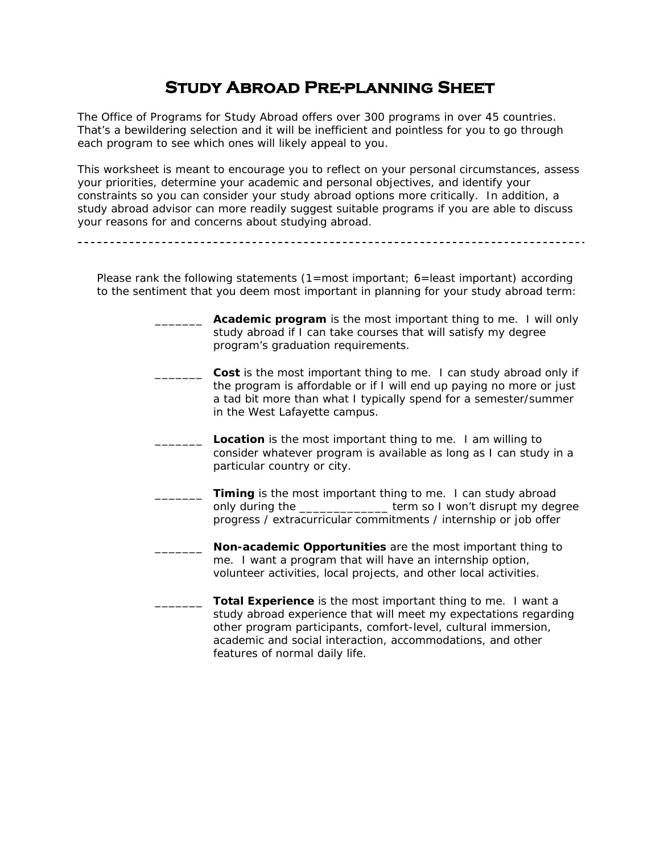# **Study Abroad Pre-planning Sheet**

The Office of Programs for Study Abroad offers over 300 programs in over 45 countries. That's a bewildering selection and it will be inefficient and pointless for you to go through each program to see which ones will likely appeal to you.

This worksheet is meant to encourage you to reflect on your personal circumstances, assess your priorities, determine your academic and personal objectives, and identify your constraints so you can consider your study abroad options more critically. In addition, a study abroad advisor can more readily suggest suitable programs if you are able to discuss your reasons for and concerns about studying abroad.

Please rank the following statements (1=most important; 6=least important) according to the sentiment that you deem most important in planning for your study abroad term:

- **EXECT** Academic program is the most important thing to me. I will only study abroad if I can take courses that will satisfy my degree program's graduation requirements.
- \_\_\_\_\_\_\_ **Cost** is the most important thing to me. I can study abroad only if the program is affordable or if I will end up paying no more or just a tad bit more than what I typically spend for a semester/summer in the West Lafayette campus.
	- **Location** is the most important thing to me. I am willing to consider whatever program is available as long as I can study in a particular country or city.
- Timing is the most important thing to me. I can study abroad only during the \_\_\_\_\_\_\_\_\_\_\_\_\_\_\_ term so I won't disrupt my degree progress / extracurricular commitments / internship or job offer
	- \_\_\_\_\_\_\_ **Non-academic Opportunities** are the most important thing to me. I want a program that will have an internship option, volunteer activities, local projects, and other local activities.
		- **Total Experience** is the most important thing to me. I want a study abroad experience that will meet my expectations regarding other program participants, comfort-level, cultural immersion, academic and social interaction, accommodations, and other features of normal daily life.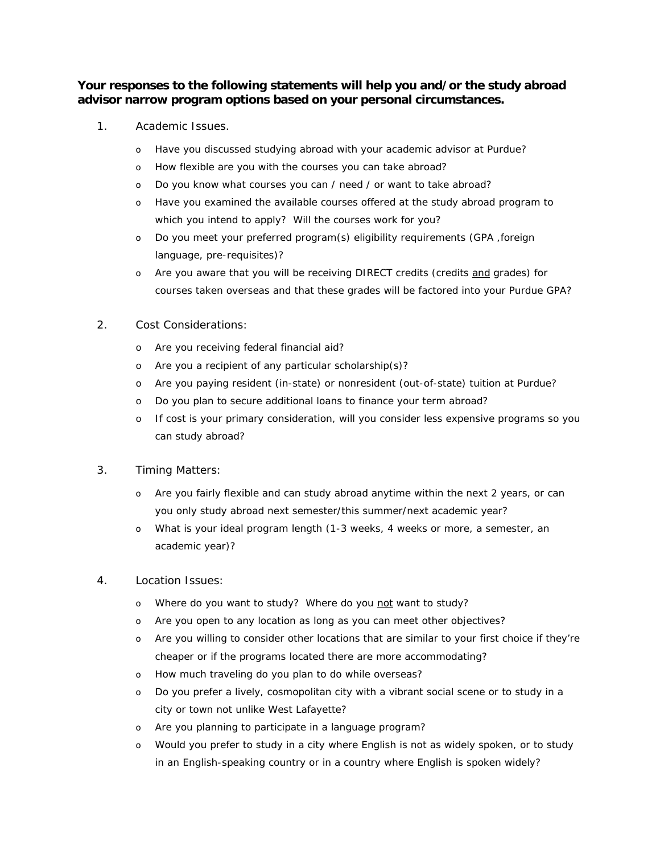## **Your responses to the following statements will help you and/or the study abroad advisor narrow program options based on your personal circumstances.**

- 1. Academic Issues.
	- o *Have you discussed studying abroad with your academic advisor at Purdue?*
	- o *How flexible are you with the courses you can take abroad?*
	- o *Do you know what courses you can / need / or want to take abroad?*
	- o *Have you examined the available courses offered at the study abroad program to which you intend to apply? Will the courses work for you?*
	- o *Do you meet your preferred program(s) eligibility requirements (GPA ,foreign language, pre-requisites)?*
	- o *Are you aware that you will be receiving DIRECT credits (credits and grades) for courses taken overseas and that these grades will be factored into your Purdue GPA?*

#### 2. Cost Considerations:

- o *Are you receiving federal financial aid?*
- o *Are you a recipient of any particular scholarship(s)?*
- o *Are you paying resident (in-state) or nonresident (out-of-state) tuition at Purdue?*
- o *Do you plan to secure additional loans to finance your term abroad?*
- o *If cost is your primary consideration, will you consider less expensive programs so you can study abroad?*

### 3. Timing Matters:

- o *Are you fairly flexible and can study abroad anytime within the next 2 years, or can you only study abroad next semester/this summer/next academic year?*
- o *What is your ideal program length (1-3 weeks, 4 weeks or more, a semester, an academic year)?*
- 4. Location Issues:
	- o *Where do you want to study? Where do you not want to study?*
	- o *Are you open to any location as long as you can meet other objectives?*
	- o *Are you willing to consider other locations that are similar to your first choice if they're cheaper or if the programs located there are more accommodating?*
	- o *How much traveling do you plan to do while overseas?*
	- o *Do you prefer a lively, cosmopolitan city with a vibrant social scene or to study in a city or town not unlike West Lafayette?*
	- o *Are you planning to participate in a language program?*
	- o *Would you prefer to study in a city where English is not as widely spoken, or to study in an English-speaking country or in a country where English is spoken widely?*